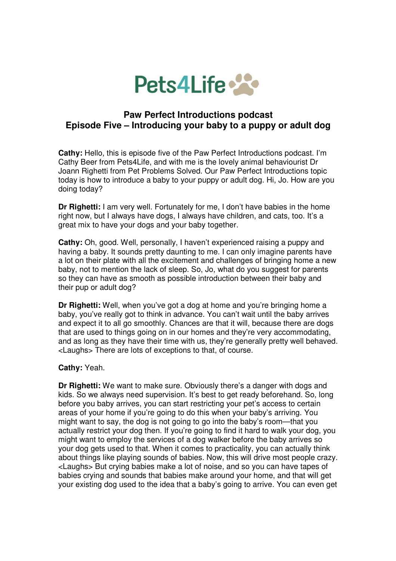

## **Paw Perfect Introductions podcast Episode Five – Introducing your baby to a puppy or adult dog**

**Cathy:** Hello, this is episode five of the Paw Perfect Introductions podcast. I'm Cathy Beer from Pets4Life, and with me is the lovely animal behaviourist Dr Joann Righetti from Pet Problems Solved. Our Paw Perfect Introductions topic today is how to introduce a baby to your puppy or adult dog. Hi, Jo. How are you doing today?

**Dr Righetti:** I am very well. Fortunately for me, I don't have babies in the home right now, but I always have dogs, I always have children, and cats, too. It's a great mix to have your dogs and your baby together.

**Cathy:** Oh, good. Well, personally, I haven't experienced raising a puppy and having a baby. It sounds pretty daunting to me. I can only imagine parents have a lot on their plate with all the excitement and challenges of bringing home a new baby, not to mention the lack of sleep. So, Jo, what do you suggest for parents so they can have as smooth as possible introduction between their baby and their pup or adult dog?

**Dr Righetti:** Well, when you've got a dog at home and you're bringing home a baby, you've really got to think in advance. You can't wait until the baby arrives and expect it to all go smoothly. Chances are that it will, because there are dogs that are used to things going on in our homes and they're very accommodating, and as long as they have their time with us, they're generally pretty well behaved. <Laughs> There are lots of exceptions to that, of course.

## **Cathy:** Yeah.

**Dr Righetti:** We want to make sure. Obviously there's a danger with dogs and kids. So we always need supervision. It's best to get ready beforehand. So, long before you baby arrives, you can start restricting your pet's access to certain areas of your home if you're going to do this when your baby's arriving. You might want to say, the dog is not going to go into the baby's room—that you actually restrict your dog then. If you're going to find it hard to walk your dog, you might want to employ the services of a dog walker before the baby arrives so your dog gets used to that. When it comes to practicality, you can actually think about things like playing sounds of babies. Now, this will drive most people crazy. <Laughs> But crying babies make a lot of noise, and so you can have tapes of babies crying and sounds that babies make around your home, and that will get your existing dog used to the idea that a baby's going to arrive. You can even get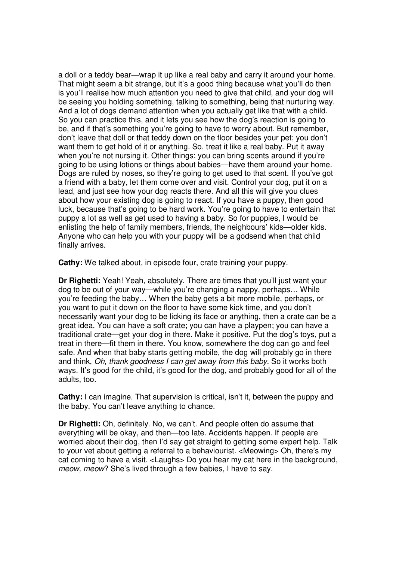a doll or a teddy bear—wrap it up like a real baby and carry it around your home. That might seem a bit strange, but it's a good thing because what you'll do then is you'll realise how much attention you need to give that child, and your dog will be seeing you holding something, talking to something, being that nurturing way. And a lot of dogs demand attention when you actually get like that with a child. So you can practice this, and it lets you see how the dog's reaction is going to be, and if that's something you're going to have to worry about. But remember, don't leave that doll or that teddy down on the floor besides your pet; you don't want them to get hold of it or anything. So, treat it like a real baby. Put it away when you're not nursing it. Other things: you can bring scents around if you're going to be using lotions or things about babies—have them around your home. Dogs are ruled by noses, so they're going to get used to that scent. If you've got a friend with a baby, let them come over and visit. Control your dog, put it on a lead, and just see how your dog reacts there. And all this will give you clues about how your existing dog is going to react. If you have a puppy, then good luck, because that's going to be hard work. You're going to have to entertain that puppy a lot as well as get used to having a baby. So for puppies, I would be enlisting the help of family members, friends, the neighbours' kids—older kids. Anyone who can help you with your puppy will be a godsend when that child finally arrives.

**Cathy:** We talked about, in episode four, crate training your puppy.

**Dr Righetti:** Yeah! Yeah, absolutely. There are times that you'll just want your dog to be out of your way—while you're changing a nappy, perhaps… While you're feeding the baby… When the baby gets a bit more mobile, perhaps, or you want to put it down on the floor to have some kick time, and you don't necessarily want your dog to be licking its face or anything, then a crate can be a great idea. You can have a soft crate; you can have a playpen; you can have a traditional crate—get your dog in there. Make it positive. Put the dog's toys, put a treat in there—fit them in there. You know, somewhere the dog can go and feel safe. And when that baby starts getting mobile, the dog will probably go in there and think, Oh, thank goodness I can get away from this baby. So it works both ways. It's good for the child, it's good for the dog, and probably good for all of the adults, too.

**Cathy:** I can imagine. That supervision is critical, isn't it, between the puppy and the baby. You can't leave anything to chance.

**Dr Righetti:** Oh, definitely. No, we can't. And people often do assume that everything will be okay, and then—too late. Accidents happen. If people are worried about their dog, then I'd say get straight to getting some expert help. Talk to your vet about getting a referral to a behaviourist. <Meowing> Oh, there's my cat coming to have a visit. <Laughs> Do you hear my cat here in the background, meow, meow? She's lived through a few babies, I have to say.